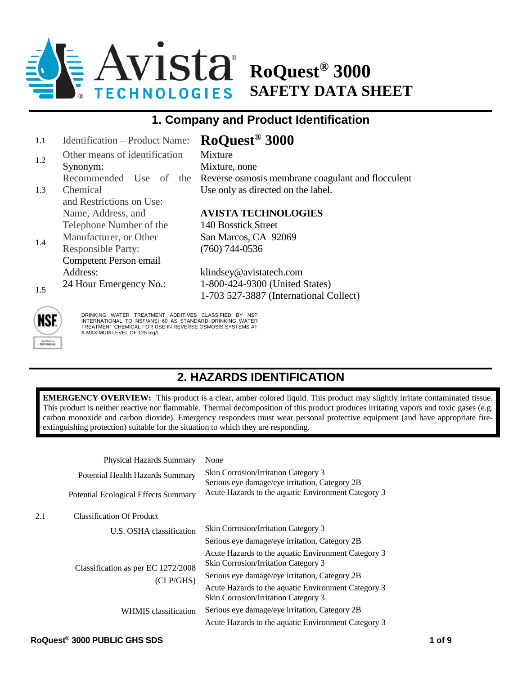

## **1. Company and Product Identification**

| 1.1        | Identification – Product Name: | RoQuest <sup>®</sup> 3000                         |  |
|------------|--------------------------------|---------------------------------------------------|--|
| 1.2        | Other means of identification  | <b>Mixture</b>                                    |  |
|            | Synonym:                       | Mixture, none                                     |  |
|            | Recommended Use of the         | Reverse osmosis membrane coagulant and flocculent |  |
| 1.3        | Chemical                       | Use only as directed on the label.                |  |
|            | and Restrictions on Use:       |                                                   |  |
|            | Name, Address, and             | <b>AVISTA TECHNOLOGIES</b>                        |  |
|            | Telephone Number of the        | 140 Bosstick Street                               |  |
|            | Manufacturer, or Other         | San Marcos, CA 92069                              |  |
|            | <b>Responsible Party:</b>      | $(760)$ 744-0536                                  |  |
|            | Competent Person email         |                                                   |  |
|            | Address:                       | klindsey@avistatech.com                           |  |
|            | 24 Hour Emergency No.:         |                                                   |  |
|            |                                | 1-703 527-3887 (International Collect)            |  |
| 1.4<br>1.5 |                                | 1-800-424-9300 (United States)                    |  |



DRINKING WATER TREATMENT ADDITIVES CLASSIFIED BY NSF<br>INTERNATIONAL TO NSF/ANSI 60 AS STANDARD DRINKING WATER<br>ITREATMENT CHEMICAL FOR USE IN REVERSE OSMOSIS SYSTEMS AT A MAXIMUM LEVEL OF 125 mg/l.

# **2. HAZARDS IDENTIFICATION**

**EMERGENCY OVERVIEW:** This product is a clear, amber colored liquid. This product may slightly irritate contaminated tissue. This product is neither reactive nor flammable. Thermal decomposition of this product produces irritating vapors and toxic gases (e.g. carbon monoxide and carbon dioxide). Emergency responders must wear personal protective equipment (and have appropriate fireextinguishing protection) suitable for the situation to which they are responding.

|     | Physical Hazards Summary                        | None                                                                                        |
|-----|-------------------------------------------------|---------------------------------------------------------------------------------------------|
|     | Potential Health Hazards Summary                | Skin Corrosion/Irritation Category 3<br>Serious eye damage/eye irritation, Category 2B      |
|     | Potential Ecological Effects Summary            | Acute Hazards to the aquatic Environment Category 3                                         |
| 2.1 | <b>Classification Of Product</b>                |                                                                                             |
|     | U.S. OSHA classification                        | Skin Corrosion/Irritation Category 3                                                        |
|     | Classification as per EC 1272/2008<br>(CLP/GHS) | Serious eye damage/eye irritation, Category 2B                                              |
|     |                                                 | Acute Hazards to the aquatic Environment Category 3<br>Skin Corrosion/Irritation Category 3 |
|     |                                                 | Serious eye damage/eye irritation, Category 2B                                              |
|     |                                                 | Acute Hazards to the aquatic Environment Category 3<br>Skin Corrosion/Irritation Category 3 |
|     | WHMIS classification                            | Serious eye damage/eye irritation, Category 2B                                              |
|     |                                                 | Acute Hazards to the aquatic Environment Category 3                                         |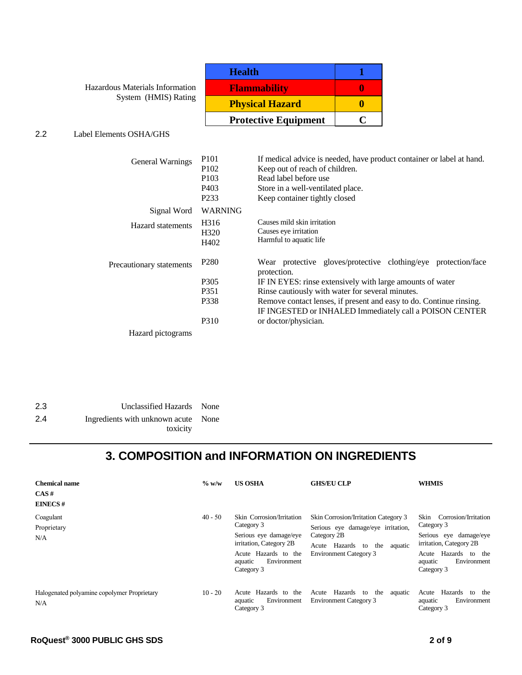Hazardous Materials Information System (HMIS) Rating

| <b>Health</b>               |  |
|-----------------------------|--|
| <b>Flammability</b>         |  |
| <b>Physical Hazard</b>      |  |
| <b>Protective Equipment</b> |  |

#### 2.2 Label Elements OSHA/GHS

| General Warnings         | P <sub>101</sub>  | If medical advice is needed, have product container or label at hand.         |
|--------------------------|-------------------|-------------------------------------------------------------------------------|
|                          | P <sub>102</sub>  | Keep out of reach of children.                                                |
|                          | P <sub>103</sub>  | Read label before use                                                         |
|                          | P <sub>40</sub> 3 | Store in a well-ventilated place.                                             |
|                          | P <sub>2</sub> 33 | Keep container tightly closed                                                 |
| Signal Word              | <b>WARNING</b>    |                                                                               |
| <b>Hazard</b> statements | H <sub>3</sub> 16 | Causes mild skin irritation                                                   |
|                          | H <sub>320</sub>  | Causes eye irritation                                                         |
|                          | H402              | Harmful to aquatic life                                                       |
| Precautionary statements | P <sub>280</sub>  | Wear protective gloves/protective clothing/eye protection/face<br>protection. |
|                          | P <sub>305</sub>  | IF IN EYES: rinse extensively with large amounts of water                     |
|                          | P351              | Rinse cautiously with water for several minutes.                              |
|                          | P338              | Remove contact lenses, if present and easy to do. Continue rinsing.           |
|                          |                   | IF INGESTED or INHALED Immediately call a POISON CENTER                       |
|                          | P310              | or doctor/physician.                                                          |
| Hazard pictograms        |                   |                                                                               |

| 2.3 | Unclassified Hazards None           |  |
|-----|-------------------------------------|--|
| 2.4 | Ingredients with unknown acute None |  |
|     | toxicity                            |  |

# **3. COMPOSITION and INFORMATION ON INGREDIENTS**

| <b>Chemical name</b><br>CAS#<br><b>EINECS#</b>     | $\%$ w/w  | <b>US OSHA</b>                                                                                                                                               | <b>GHS/EU CLP</b>                                                                                                                                                | <b>WHMIS</b>                                                                                                                                                          |
|----------------------------------------------------|-----------|--------------------------------------------------------------------------------------------------------------------------------------------------------------|------------------------------------------------------------------------------------------------------------------------------------------------------------------|-----------------------------------------------------------------------------------------------------------------------------------------------------------------------|
| Coagulant<br>Proprietary<br>N/A                    | $40 - 50$ | Skin Corrosion/Irritation<br>Category 3<br>Serious eye damage/eye<br>irritation, Category 2B<br>Acute Hazards to the<br>Environment<br>aquatic<br>Category 3 | Skin Corrosion/Irritation Category 3<br>Serious eye damage/eye irritation,<br>Category 2B<br>Acute Hazards to<br>aquatic<br>the<br><b>Environment Category 3</b> | Corrosion/Irritation<br>Skin<br>Category 3<br>Serious eye damage/eye<br>irritation, Category 2B<br>Hazards<br>to the<br>Acute<br>Environment<br>aquatic<br>Category 3 |
| Halogenated polyamine copolymer Proprietary<br>N/A | $10 - 20$ | Hazards to the<br>Acute<br>Environment<br>aquatic<br>Category 3                                                                                              | Hazards to<br>the<br>Acute<br>aquatic<br><b>Environment Category 3</b>                                                                                           | Hazards<br>Acute<br>the<br>to<br>Environment<br>aquatic<br>Category 3                                                                                                 |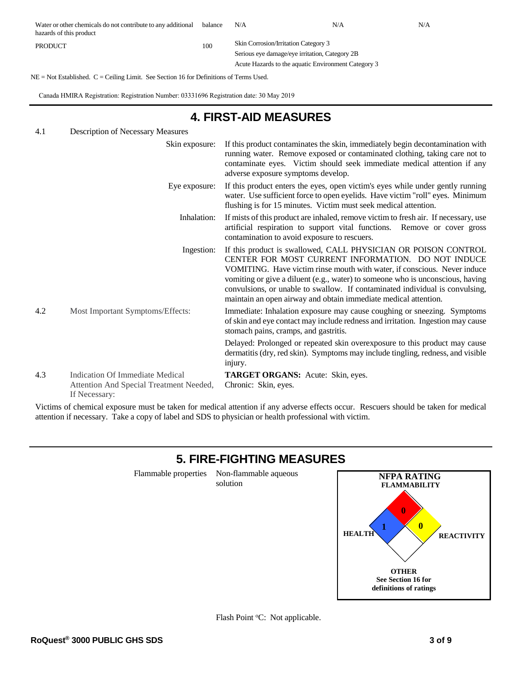| Water or other chemicals do not contribute to any additional<br>hazards of this product | balance | N/A                                                 | N/A | N/A |
|-----------------------------------------------------------------------------------------|---------|-----------------------------------------------------|-----|-----|
| <b>PRODUCT</b>                                                                          |         | <b>Skin Corrosion/Irritation Category 3</b>         |     |     |
|                                                                                         |         | Serious eye damage/eye irritation, Category 2B      |     |     |
|                                                                                         |         | Acute Hazards to the aquatic Environment Category 3 |     |     |

NE = Not Established. C = Ceiling Limit. See Section 16 for Definitions of Terms Used.

Canada HMIRA Registration: Registration Number: 03331696 Registration date: 30 May 2019

## **4. FIRST-AID MEASURES**

| 4.1 | Description of Necessary Measures                                                           |                                                                                                                                                                                                                                                                                                                                                                                                                                       |
|-----|---------------------------------------------------------------------------------------------|---------------------------------------------------------------------------------------------------------------------------------------------------------------------------------------------------------------------------------------------------------------------------------------------------------------------------------------------------------------------------------------------------------------------------------------|
|     | Skin exposure:                                                                              | If this product contaminates the skin, immediately begin decontamination with<br>running water. Remove exposed or contaminated clothing, taking care not to<br>contaminate eyes. Victim should seek immediate medical attention if any<br>adverse exposure symptoms develop.                                                                                                                                                          |
|     | Eye exposure:                                                                               | If this product enters the eyes, open victim's eyes while under gently running<br>water. Use sufficient force to open eyelids. Have victim "roll" eyes. Minimum<br>flushing is for 15 minutes. Victim must seek medical attention.                                                                                                                                                                                                    |
|     | Inhalation:                                                                                 | If mists of this product are inhaled, remove victim to fresh air. If necessary, use<br>artificial respiration to support vital functions. Remove or cover gross<br>contamination to avoid exposure to rescuers.                                                                                                                                                                                                                       |
|     | Ingestion:                                                                                  | If this product is swallowed, CALL PHYSICIAN OR POISON CONTROL<br>CENTER FOR MOST CURRENT INFORMATION. DO NOT INDUCE<br>VOMITING. Have victim rinse mouth with water, if conscious. Never induce<br>vomiting or give a diluent (e.g., water) to someone who is unconscious, having<br>convulsions, or unable to swallow. If contaminated individual is convulsing,<br>maintain an open airway and obtain immediate medical attention. |
| 4.2 | Most Important Symptoms/Effects:                                                            | Immediate: Inhalation exposure may cause coughing or sneezing. Symptoms<br>of skin and eye contact may include redness and irritation. Ingestion may cause<br>stomach pains, cramps, and gastritis.                                                                                                                                                                                                                                   |
|     |                                                                                             | Delayed: Prolonged or repeated skin overexposure to this product may cause<br>dermatitis (dry, red skin). Symptoms may include tingling, redness, and visible<br>injury.                                                                                                                                                                                                                                                              |
| 4.3 | Indication Of Immediate Medical<br>Attention And Special Treatment Needed,<br>If Necessary: | TARGET ORGANS: Acute: Skin, eyes.<br>Chronic: Skin, eyes.                                                                                                                                                                                                                                                                                                                                                                             |

Victims of chemical exposure must be taken for medical attention if any adverse effects occur. Rescuers should be taken for medical attention if necessary. Take a copy of label and SDS to physician or health professional with victim.

#### **5. FIRE-FIGHTING MEASURES**

Flammable properties Non-flammable aqueous solution

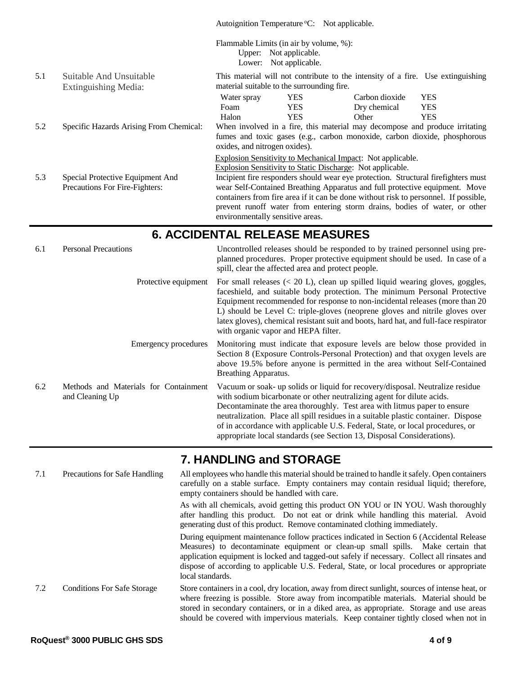|     |                                                 |                                                                             | Autoignition Temperature °C: Not applicable.                                                                                                             |                |            |  |
|-----|-------------------------------------------------|-----------------------------------------------------------------------------|----------------------------------------------------------------------------------------------------------------------------------------------------------|----------------|------------|--|
|     |                                                 |                                                                             | Flammable Limits (in air by volume, %):<br>Upper: Not applicable.<br>Lower: Not applicable.                                                              |                |            |  |
| 5.1 | Suitable And Unsuitable<br>Extinguishing Media: |                                                                             | This material will not contribute to the intensity of a fire. Use extinguishing<br>material suitable to the surrounding fire.                            |                |            |  |
|     |                                                 | Water spray                                                                 | <b>YES</b>                                                                                                                                               | Carbon dioxide | <b>YES</b> |  |
|     |                                                 | Foam                                                                        | YES.                                                                                                                                                     | Dry chemical   | <b>YES</b> |  |
|     |                                                 | Halon                                                                       | <b>YES</b>                                                                                                                                               | Other          | <b>YES</b> |  |
| 5.2 | Specific Hazards Arising From Chemical:         | oxides, and nitrogen oxides).                                               | When involved in a fire, this material may decompose and produce irritating<br>fumes and toxic gases (e.g., carbon monoxide, carbon dioxide, phosphorous |                |            |  |
|     |                                                 |                                                                             | <b>Explosion Sensitivity to Mechanical Impact:</b> Not applicable.                                                                                       |                |            |  |
|     |                                                 |                                                                             | Explosion Sensitivity to Static Discharge: Not applicable.                                                                                               |                |            |  |
| 5.3 | Special Protective Equipment And                |                                                                             | Incipient fire responders should wear eye protection. Structural firefighters must                                                                       |                |            |  |
|     | Precautions For Fire-Fighters:                  | wear Self-Contained Breathing Apparatus and full protective equipment. Move |                                                                                                                                                          |                |            |  |
|     |                                                 |                                                                             | containers from fire area if it can be done without risk to personnel. If possible,                                                                      |                |            |  |
|     |                                                 |                                                                             | prevent runoff water from entering storm drains, bodies of water, or other                                                                               |                |            |  |
|     |                                                 |                                                                             | environmentally sensitive areas.                                                                                                                         |                |            |  |
|     |                                                 |                                                                             |                                                                                                                                                          |                |            |  |

#### **6. ACCIDENTAL RELEASE MEASURES**

| 6.1 | <b>Personal Precautions</b>                              | Uncontrolled releases should be responded to by trained personnel using pre-<br>planned procedures. Proper protective equipment should be used. In case of a<br>spill, clear the affected area and protect people.                                                                                                                                                                                                                                                                 |
|-----|----------------------------------------------------------|------------------------------------------------------------------------------------------------------------------------------------------------------------------------------------------------------------------------------------------------------------------------------------------------------------------------------------------------------------------------------------------------------------------------------------------------------------------------------------|
|     | Protective equipment                                     | For small releases $(20 \text{ L}), clean up spilled liquid wearing gloves, goggles,$<br>faceshield, and suitable body protection. The minimum Personal Protective<br>Equipment recommended for response to non-incidental releases (more than 20<br>L) should be Level C: triple-gloves (neoprene gloves and nitrile gloves over<br>latex gloves), chemical resistant suit and boots, hard hat, and full-face respirator<br>with organic vapor and HEPA filter.                   |
|     | Emergency procedures                                     | Monitoring must indicate that exposure levels are below those provided in<br>Section 8 (Exposure Controls-Personal Protection) and that oxygen levels are<br>above 19.5% before anyone is permitted in the area without Self-Contained<br>Breathing Apparatus.                                                                                                                                                                                                                     |
| 6.2 | Methods and Materials for Containment<br>and Cleaning Up | Vacuum or soak- up solids or liquid for recovery/disposal. Neutralize residue<br>with sodium bicarbonate or other neutralizing agent for dilute acids.<br>Decontaminate the area thoroughly. Test area with litmus paper to ensure<br>neutralization. Place all spill residues in a suitable plastic container. Dispose<br>of in accordance with applicable U.S. Federal, State, or local procedures, or<br>appropriate local standards (see Section 13, Disposal Considerations). |

#### **7. HANDLING and STORAGE**

7.1 Precautions for Safe Handling All employees who handle this material should be trained to handle it safely. Open containers carefully on a stable surface. Empty containers may contain residual liquid; therefore, empty containers should be handled with care. As with all chemicals, avoid getting this product ON YOU or IN YOU. Wash thoroughly after handling this product. Do not eat or drink while handling this material. Avoid generating dust of this product. Remove contaminated clothing immediately. During equipment maintenance follow practices indicated in Section 6 (Accidental Release Measures) to decontaminate equipment or clean-up small spills. Make certain that application equipment is locked and tagged-out safely if necessary. Collect all rinsates and dispose of according to applicable U.S. Federal, State, or local procedures or appropriate local standards. 7.2 Conditions For Safe Storage Store containers in a cool, dry location, away from direct sunlight, sources of intense heat, or where freezing is possible. Store away from incompatible materials. Material should be stored in secondary containers, or in a diked area, as appropriate. Storage and use areas should be covered with impervious materials. Keep container tightly closed when not in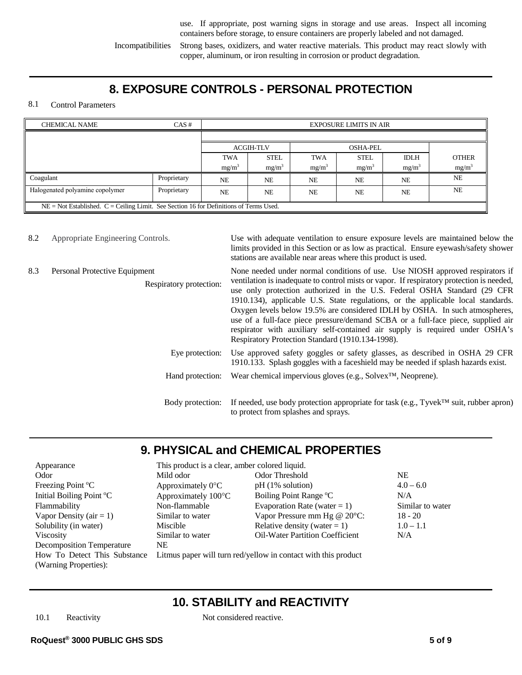use. If appropriate, post warning signs in storage and use areas. Inspect all incoming containers before storage, to ensure containers are properly labeled and not damaged.

Incompatibilities Strong bases, oxidizers, and water reactive materials. This product may react slowly with copper, aluminum, or iron resulting in corrosion or product degradation.

## **8. EXPOSURE CONTROLS - PERSONAL PROTECTION**

#### 8.1 Control Parameters

| $CAS \#$<br><b>CHEMICAL NAME</b>                                                           |             |                   |             |            | <b>EXPOSURE LIMITS IN AIR</b> |             |                   |  |
|--------------------------------------------------------------------------------------------|-------------|-------------------|-------------|------------|-------------------------------|-------------|-------------------|--|
|                                                                                            |             |                   |             |            |                               |             |                   |  |
|                                                                                            |             | <b>ACGIH-TLV</b>  |             |            | <b>OSHA-PEL</b>               |             |                   |  |
|                                                                                            |             | <b>TWA</b>        | <b>STEL</b> | <b>TWA</b> | <b>STEL</b>                   | <b>IDLH</b> | <b>OTHER</b>      |  |
|                                                                                            |             | mg/m <sup>3</sup> | $mg/m^3$    | $mg/m^3$   | $mg/m^3$                      | $mg/m^3$    | mg/m <sup>3</sup> |  |
| Coagulant                                                                                  | Proprietary | <b>NE</b>         | <b>NE</b>   | <b>NE</b>  | <b>NE</b>                     | <b>NE</b>   | <b>NE</b>         |  |
| Halogenated polyamine copolymer<br>Proprietary                                             |             | <b>NE</b>         | <b>NE</b>   | <b>NE</b>  | <b>NE</b>                     | <b>NE</b>   | <b>NE</b>         |  |
| $NE = Not$ Established. $C = Ceiling$ Limit. See Section 16 for Definitions of Terms Used. |             |                   |             |            |                               |             |                   |  |

8.2 Appropriate Engineering Controls. Use with adequate ventilation to ensure exposure levels are maintained below the limits provided in this Section or as low as practical. Ensure eyewash/safety shower stations are available near areas where this product is used.

> None needed under normal conditions of use. Use NIOSH approved respirators if ventilation is inadequate to control mists or vapor. If respiratory protection is needed, use only protection authorized in the U.S. Federal OSHA Standard (29 CFR

#### 8.3 Personal Protective Equipment

Respiratory protection:

|                 | 1910.134), applicable U.S. State regulations, or the applicable local standards.<br>Oxygen levels below 19.5% are considered IDLH by OSHA. In such atmospheres,<br>use of a full-face piece pressure/demand SCBA or a full-face piece, supplied air<br>respirator with auxiliary self-contained air supply is required under OSHA's<br>Respiratory Protection Standard (1910.134-1998). |
|-----------------|-----------------------------------------------------------------------------------------------------------------------------------------------------------------------------------------------------------------------------------------------------------------------------------------------------------------------------------------------------------------------------------------|
| Eye protection: | Use approved safety goggles or safety glasses, as described in OSHA 29 CFR<br>1910.133. Splash goggles with a faceshield may be needed if splash hazards exist.                                                                                                                                                                                                                         |
|                 | Hand protection: Wear chemical impervious gloves (e.g., Solvex <sup>TM</sup> , Neoprene).                                                                                                                                                                                                                                                                                               |
|                 | Body protection: If needed, use body protection appropriate for task (e.g., Tyvek <sup>TM</sup> suit, rubber apron)<br>to protect from splashes and sprays.                                                                                                                                                                                                                             |

# **9. PHYSICAL and CHEMICAL PROPERTIES**

| Appearance                       | This product is a clear, amber colored liquid. |                                                                |                  |
|----------------------------------|------------------------------------------------|----------------------------------------------------------------|------------------|
| Odor                             | Mild odor                                      | Odor Threshold                                                 | <b>NE</b>        |
| Freezing Point °C                | Approximately $0^{\circ}$ C                    | $pH(1\% \text{ solution})$                                     | $4.0 - 6.0$      |
| Initial Boiling Point °C         | Approximately 100°C                            | Boiling Point Range °C                                         | N/A              |
| Flammability                     | Non-flammable                                  | Evaporation Rate (water = 1)                                   | Similar to water |
| Vapor Density ( $air = 1$ )      | Similar to water                               | Vapor Pressure mm Hg @ 20°C:                                   | $18 - 20$        |
| Solubility (in water)            | Miscible                                       | Relative density (water = 1)                                   | $1.0 - 1.1$      |
| <b>Viscosity</b>                 | Similar to water                               | <b>Oil-Water Partition Coefficient</b>                         | N/A              |
| <b>Decomposition Temperature</b> | NE.                                            |                                                                |                  |
| How To Detect This Substance     |                                                | Litmus paper will turn red/yellow in contact with this product |                  |
| (Warning Properties):            |                                                |                                                                |                  |

## **10. STABILITY and REACTIVITY**

10.1 Reactivity Not considered reactive.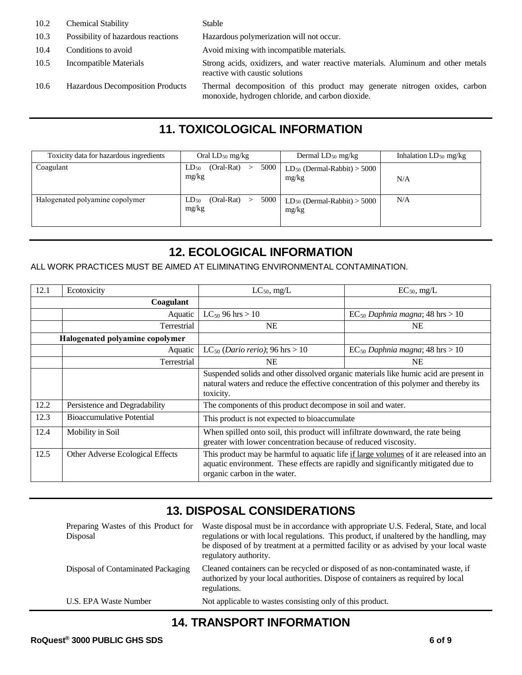- 10.2 Chemical Stability Stable
- 10.3 Possibility of hazardous reactions Hazardous polymerization will not occur.
- 10.4 Conditions to avoid Avoid mixing with incompatible materials.
- 10.5 Incompatible Materials Strong acids, oxidizers, and water reactive materials. Aluminum and other metals
- 

reactive with caustic solutions 10.6 Hazardous Decomposition Products Thermal decomposition of this product may generate nitrogen oxides, carbon monoxide, hydrogen chloride, and carbon dioxide.

# **11. TOXICOLOGICAL INFORMATION**

| Toxicity data for hazardous ingredients | Oral $LD_{50}$ mg/kg                         | Dermal $LD_{50}$ mg/kg                    | Inhalation $LD_{50}$ mg/kg |
|-----------------------------------------|----------------------------------------------|-------------------------------------------|----------------------------|
| Coagulant                               | $(Oral-Rat)$<br>5000 l<br>$LD_{50}$<br>mg/kg | $LD_{50}$ (Dermal-Rabbit) > 5000<br>mg/kg | N/A                        |
| Halogenated polyamine copolymer         | 5000<br>(Oral-Rat)<br>$LD_{50}$<br>mg/kg     | $LD_{50}$ (Dermal-Rabbit) > 5000<br>mg/kg | N/A                        |

# **12. ECOLOGICAL INFORMATION**

ALL WORK PRACTICES MUST BE AIMED AT ELIMINATING ENVIRONMENTAL CONTAMINATION.

| 12.1 | Ecotoxicity                      | $LC_{50}$ , mg/L                                                                                                                                                                                             | $EC_{50}$ , mg/L                                                                      |
|------|----------------------------------|--------------------------------------------------------------------------------------------------------------------------------------------------------------------------------------------------------------|---------------------------------------------------------------------------------------|
|      | Coagulant                        |                                                                                                                                                                                                              |                                                                                       |
|      | Aquatic                          | $LC_{50}$ 96 hrs > 10                                                                                                                                                                                        | $EC_{50}$ Daphnia magna; 48 hrs > 10                                                  |
|      | Terrestrial                      | <b>NE</b>                                                                                                                                                                                                    | <b>NE</b>                                                                             |
|      | Halogenated polyamine copolymer  |                                                                                                                                                                                                              |                                                                                       |
|      | Aquatic                          | LC <sub>50</sub> ( <i>Dario rerio</i> ); 96 hrs > 10                                                                                                                                                         | $EC_{50}$ Daphnia magna; 48 hrs > 10                                                  |
|      | Terrestrial                      | <b>NE</b>                                                                                                                                                                                                    | <b>NE</b>                                                                             |
|      |                                  | natural waters and reduce the effective concentration of this polymer and thereby its<br>toxicity.                                                                                                           | Suspended solids and other dissolved organic materials like humic acid are present in |
| 12.2 | Persistence and Degradability    | The components of this product decompose in soil and water.                                                                                                                                                  |                                                                                       |
| 12.3 | <b>Bioaccumulative Potential</b> | This product is not expected to bioaccumulate                                                                                                                                                                |                                                                                       |
| 12.4 | Mobility in Soil                 | When spilled onto soil, this product will infiltrate downward, the rate being<br>greater with lower concentration because of reduced viscosity.                                                              |                                                                                       |
| 12.5 | Other Adverse Ecological Effects | This product may be harmful to aquatic life if large volumes of it are released into an<br>aquatic environment. These effects are rapidly and significantly mitigated due to<br>organic carbon in the water. |                                                                                       |

# **13. DISPOSAL CONSIDERATIONS**

| Preparing Wastes of this Product for<br>Disposal | Waste disposal must be in accordance with appropriate U.S. Federal, State, and local<br>regulations or with local regulations. This product, if unaltered by the handling, may<br>be disposed of by treatment at a permitted facility or as advised by your local waste<br>regulatory authority. |
|--------------------------------------------------|--------------------------------------------------------------------------------------------------------------------------------------------------------------------------------------------------------------------------------------------------------------------------------------------------|
| Disposal of Contaminated Packaging               | Cleaned containers can be recycled or disposed of as non-contaminated waste, if<br>authorized by your local authorities. Dispose of containers as required by local<br>regulations.                                                                                                              |
| U.S. EPA Waste Number                            | Not applicable to wastes consisting only of this product.                                                                                                                                                                                                                                        |

# **14. TRANSPORT INFORMATION**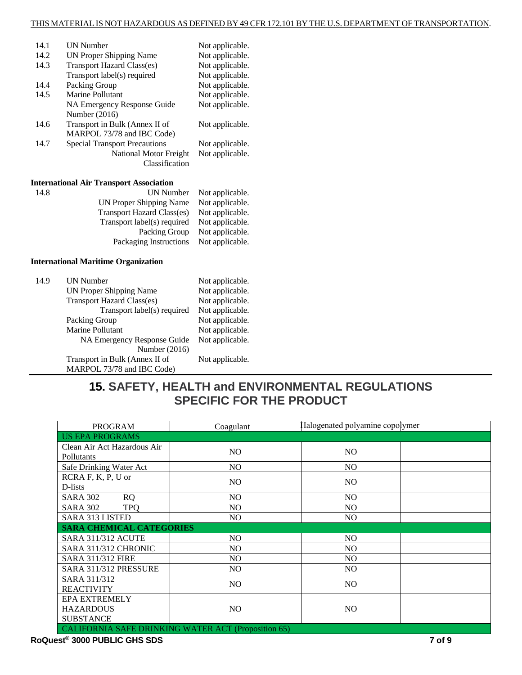| 14.1 | <b>UN Number</b>                     | Not applicable. |
|------|--------------------------------------|-----------------|
| 14.2 | UN Proper Shipping Name              | Not applicable. |
| 14.3 | <b>Transport Hazard Class(es)</b>    | Not applicable. |
|      | Transport label(s) required          | Not applicable. |
| 14.4 | Packing Group                        | Not applicable. |
| 14.5 | Marine Pollutant                     | Not applicable. |
|      | NA Emergency Response Guide          | Not applicable. |
|      | Number (2016)                        |                 |
| 14.6 | Transport in Bulk (Annex II of       | Not applicable. |
|      | MARPOL 73/78 and IBC Code)           |                 |
| 14.7 | <b>Special Transport Precautions</b> | Not applicable. |
|      | National Motor Freight               | Not applicable. |
|      | Classification                       |                 |

#### **International Air Transport Association**

| 14.8 |                             | UN Number Not applicable. |
|------|-----------------------------|---------------------------|
|      | UN Proper Shipping Name     | Not applicable.           |
|      | Transport Hazard Class(es)  | Not applicable.           |
|      | Transport label(s) required | Not applicable.           |
|      | Packing Group               | Not applicable.           |
|      | Packaging Instructions      | Not applicable.           |
|      |                             |                           |

#### **International Maritime Organization**

| Not applicable.<br>UN Proper Shipping Name           |  |
|------------------------------------------------------|--|
| <b>Transport Hazard Class(es)</b><br>Not applicable. |  |
| Transport label(s) required<br>Not applicable.       |  |
| Not applicable.<br>Packing Group                     |  |
| <b>Marine Pollutant</b><br>Not applicable.           |  |
| Not applicable.<br>NA Emergency Response Guide       |  |
| Number $(2016)$                                      |  |
| Transport in Bulk (Annex II of<br>Not applicable.    |  |
| MARPOL 73/78 and IBC Code)                           |  |

# **15. SAFETY, HEALTH and ENVIRONMENTAL REGULATIONS SPECIFIC FOR THE PRODUCT**

| <b>PROGRAM</b>                                             | Coagulant | Halogenated polyamine copolymer |  |
|------------------------------------------------------------|-----------|---------------------------------|--|
| <b>US EPA PROGRAMS</b>                                     |           |                                 |  |
| Clean Air Act Hazardous Air                                | NO        | N <sub>O</sub>                  |  |
| Pollutants                                                 |           |                                 |  |
| Safe Drinking Water Act                                    | NO.       | NO.                             |  |
| RCRA F, K, P, U or                                         | NO.       | N <sub>O</sub>                  |  |
| D-lists                                                    |           |                                 |  |
| <b>SARA 302</b><br>RQ                                      | NO.       | NO.                             |  |
| <b>SARA 302</b><br><b>TPO</b>                              | NO.       | N <sub>O</sub>                  |  |
| <b>SARA 313 LISTED</b>                                     | NO.       | N <sub>O</sub>                  |  |
| <b>SARA CHEMICAL CATEGORIES</b>                            |           |                                 |  |
| <b>SARA 311/312 ACUTE</b>                                  | NO.       | N <sub>O</sub>                  |  |
| SARA 311/312 CHRONIC                                       | NO.       | NO.                             |  |
| <b>SARA 311/312 FIRE</b>                                   | NO.       | N <sub>O</sub>                  |  |
| SARA 311/312 PRESSURE                                      | NO.       | NO.                             |  |
| SARA 311/312                                               | NO.       | N <sub>O</sub>                  |  |
| <b>REACTIVITY</b>                                          |           |                                 |  |
| <b>EPA EXTREMELY</b>                                       |           |                                 |  |
| <b>HAZARDOUS</b>                                           | NO        | N <sub>O</sub>                  |  |
| <b>SUBSTANCE</b>                                           |           |                                 |  |
| <b>CALIFORNIA SAFE DRINKING WATER ACT (Proposition 65)</b> |           |                                 |  |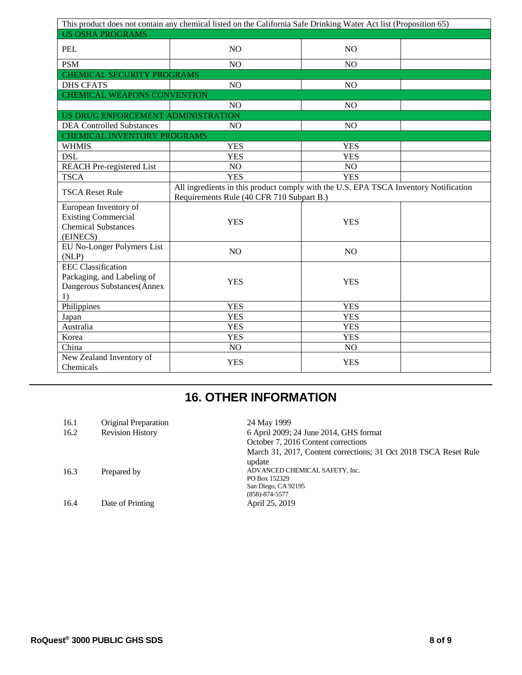| This product does not contain any chemical listed on the California Safe Drinking Water Act list (Proposition 65) |                                                                                                                                   |                |  |
|-------------------------------------------------------------------------------------------------------------------|-----------------------------------------------------------------------------------------------------------------------------------|----------------|--|
| <b>US OSHA PROGRAMS</b>                                                                                           |                                                                                                                                   |                |  |
| PEL                                                                                                               | N <sub>O</sub>                                                                                                                    | N <sub>O</sub> |  |
| <b>PSM</b>                                                                                                        | N <sub>O</sub>                                                                                                                    | N <sub>O</sub> |  |
| <b>CHEMICAL SECURITY PROGRAMS</b>                                                                                 |                                                                                                                                   |                |  |
| <b>DHS CFATS</b>                                                                                                  | NO                                                                                                                                | NO             |  |
| <b>CHEMICAL WEAPONS CONVENTION</b>                                                                                |                                                                                                                                   |                |  |
|                                                                                                                   | N <sub>O</sub>                                                                                                                    | N <sub>O</sub> |  |
| US DRUG ENFORCEMENT ADMINISTRATION                                                                                |                                                                                                                                   |                |  |
| <b>DEA Controlled Substances</b>                                                                                  | NO                                                                                                                                | NO             |  |
| CHEMICAL INVENTORY PROGRAMS                                                                                       |                                                                                                                                   |                |  |
| <b>WHMIS</b>                                                                                                      | <b>YES</b>                                                                                                                        | <b>YES</b>     |  |
| <b>DSL</b>                                                                                                        | <b>YES</b>                                                                                                                        | <b>YES</b>     |  |
| <b>REACH Pre-registered List</b>                                                                                  | NO                                                                                                                                | NO             |  |
| <b>TSCA</b>                                                                                                       | <b>YES</b>                                                                                                                        | <b>YES</b>     |  |
| <b>TSCA Reset Rule</b>                                                                                            | All ingredients in this product comply with the U.S. EPA TSCA Inventory Notification<br>Requirements Rule (40 CFR 710 Subpart B.) |                |  |
| European Inventory of<br><b>Existing Commercial</b><br><b>Chemical Substances</b><br>(EINECS)                     | <b>YES</b>                                                                                                                        | <b>YES</b>     |  |
| EU No-Longer Polymers List<br>(NLP)                                                                               | <b>NO</b>                                                                                                                         | N <sub>O</sub> |  |
| <b>EEC</b> Classification<br>Packaging, and Labeling of<br>Dangerous Substances(Annex<br>1)                       | <b>YES</b>                                                                                                                        | <b>YES</b>     |  |
| Philippines                                                                                                       | <b>YES</b>                                                                                                                        | <b>YES</b>     |  |
| Japan                                                                                                             | <b>YES</b>                                                                                                                        | <b>YES</b>     |  |
| Australia                                                                                                         | <b>YES</b>                                                                                                                        | <b>YES</b>     |  |
| Korea                                                                                                             | <b>YES</b>                                                                                                                        | <b>YES</b>     |  |
| China                                                                                                             | NO                                                                                                                                | NO             |  |
| New Zealand Inventory of<br>Chemicals                                                                             | <b>YES</b>                                                                                                                        | <b>YES</b>     |  |

# **16. OTHER INFORMATION**

| 16.1 | Original Preparation    | 24 May 1999                                                      |
|------|-------------------------|------------------------------------------------------------------|
| 16.2 | <b>Revision History</b> | 6 April 2009; 24 June 2014, GHS format                           |
|      |                         | October 7, 2016 Content corrections                              |
|      |                         | March 31, 2017, Content corrections; 31 Oct 2018 TSCA Reset Rule |
|      |                         | update                                                           |
| 16.3 | Prepared by             | ADVANCED CHEMICAL SAFETY, Inc.                                   |
|      |                         | PO Box 152329                                                    |
|      |                         | San Diego, CA 92195                                              |
|      |                         | $(858) - 874 - 5577$                                             |
| 16.4 | Date of Printing        | April 25, 2019                                                   |